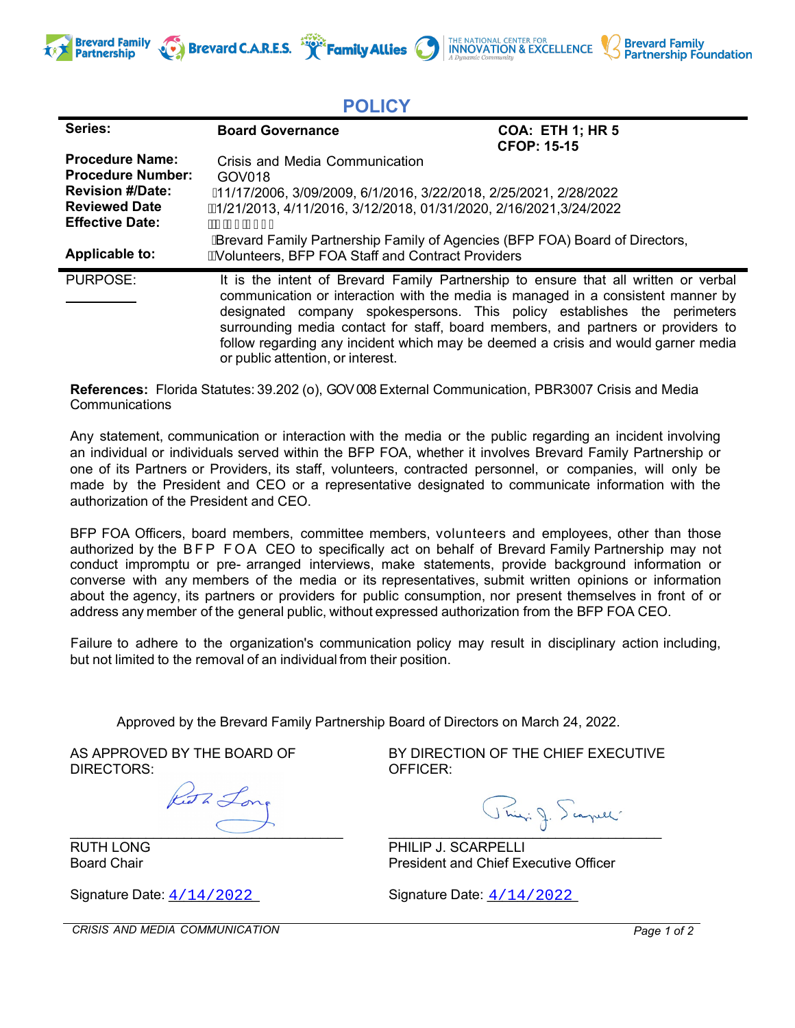

| $\sim$ . $\sim$ .                                                                                                                                        |                                                                                                                                                                                                                                                                                                                                                                                                                                                                   |                                               |
|----------------------------------------------------------------------------------------------------------------------------------------------------------|-------------------------------------------------------------------------------------------------------------------------------------------------------------------------------------------------------------------------------------------------------------------------------------------------------------------------------------------------------------------------------------------------------------------------------------------------------------------|-----------------------------------------------|
| Series:                                                                                                                                                  | <b>Board Governance</b>                                                                                                                                                                                                                                                                                                                                                                                                                                           | <b>COA: ETH 1; HR 5</b><br><b>CFOP: 15-15</b> |
| <b>Procedure Name:</b><br><b>Procedure Number:</b><br><b>Revision #/Date:</b><br><b>Reviewed Date</b><br><b>Effective Date:</b><br><b>Applicable to:</b> | Crisis and Media Communication<br>GOV018<br>Å 1/17/2006, 3/09/2009, 6/1/2016, 3/22/2018, 2/25/2021, 2/28/2022<br>Á4/21/2013, 4/11/2016, 3/12/2018, 01/31/2020, 2/16/2021,3/24/2022<br>ÁÑ BEÎ ED <del>EC</del> I<br><b>A Brevard Family Partnership Family of Agencies (BFP FOA) Board of Directors,</b><br>AVolunteers, BFP FOA Staff and Contract Providers                                                                                                      |                                               |
| PURPOSE:                                                                                                                                                 | It is the intent of Brevard Family Partnership to ensure that all written or verbal<br>communication or interaction with the media is managed in a consistent manner by<br>designated company spokespersons. This policy establishes the perimeters<br>surrounding media contact for staff, board members, and partners or providers to<br>follow regarding any incident which may be deemed a crisis and would garner media<br>or public attention, or interest. |                                               |

**POLICY**

**References:** Florida Statutes: 39.202 (o), GOV 008 External Communication, PBR3007 Crisis and Media **Communications** 

Any statement, communication or interaction with the media or the public regarding an incident involving an individual or individuals served within the BFP FOA, whether it involves Brevard Family Partnership or one of its Partners or Providers, its staff, volunteers, contracted personnel, or companies, will only be made by the President and CEO or a representative designated to communicate information with the authorization of the President and CEO.

BFP FOA Officers, board members, committee members, volunteers and employees, other than those authorized by the BFP FOA CEO to specifically act on behalf of Brevard Family Partnership may not conduct impromptu or pre- arranged interviews, make statements, provide background information or converse with any members of the media or its representatives, submit written opinions or information about the agency, its partners or providers for public consumption, nor present themselves in front of or address any member of the general public, without expressed authorization from the BFP FOA CEO.

Failure to adhere to the organization's communication policy may result in disciplinary action including, but not limited to the removal of an individual from their position.

Approved by the Brevard Family Partnership Board of Directors on March 24, 2022.

AS APPROVED BY THE BOARD OF DIRECTORS:

Keath Lo  $\overline{\phantom{a}}$ 

RUTH LONG Board Chair

Signature Date:  $4/14/2022$ 

BY DIRECTION OF THE CHIEF EXECUTIVE OFFICER:

THE NATIONAL CENTER FOR **INNOVATION & EXCELLENCE** 

**Brevard Family<br>Partnership Foundation** 

 $\overline{\phantom{a}}$ 

PHILIP J. SCARPELLI President and Chief Executive Officer

4/14/2022 Signature Date:  $\frac{4}{14}$  2022

*CRISIS AND MEDIA COMMUNICATION Page 1 of 2*